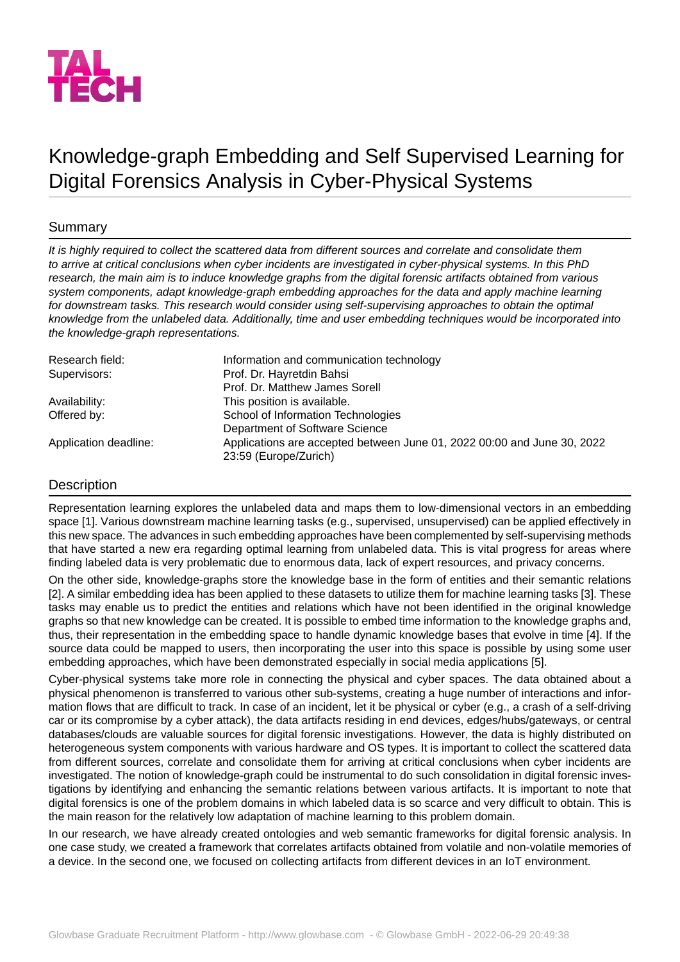

# Knowledge-graph Embedding and Self Supervised Learning for Digital Forensics Analysis in Cyber-Physical Systems

## **Summary**

*It is highly required to collect the scattered data from different sources and correlate and consolidate them to arrive at critical conclusions when cyber incidents are investigated in cyber-physical systems. In this PhD research, the main aim is to induce knowledge graphs from the digital forensic artifacts obtained from various system components, adapt knowledge-graph embedding approaches for the data and apply machine learning for downstream tasks. This research would consider using self-supervising approaches to obtain the optimal knowledge from the unlabeled data. Additionally, time and user embedding techniques would be incorporated into the knowledge-graph representations.*

| Research field:       | Information and communication technology                                                         |
|-----------------------|--------------------------------------------------------------------------------------------------|
| Supervisors:          | Prof. Dr. Hayretdin Bahsi                                                                        |
|                       | Prof. Dr. Matthew James Sorell                                                                   |
| Availability:         | This position is available.                                                                      |
| Offered by:           | School of Information Technologies                                                               |
|                       | Department of Software Science                                                                   |
| Application deadline: | Applications are accepted between June 01, 2022 00:00 and June 30, 2022<br>23:59 (Europe/Zurich) |

## Description

Representation learning explores the unlabeled data and maps them to low-dimensional vectors in an embedding space [1]. Various downstream machine learning tasks (e.g., supervised, unsupervised) can be applied effectively in this new space. The advances in such embedding approaches have been complemented by self-supervising methods that have started a new era regarding optimal learning from unlabeled data. This is vital progress for areas where finding labeled data is very problematic due to enormous data, lack of expert resources, and privacy concerns.

On the other side, knowledge-graphs store the knowledge base in the form of entities and their semantic relations [2]. A similar embedding idea has been applied to these datasets to utilize them for machine learning tasks [3]. These tasks may enable us to predict the entities and relations which have not been identified in the original knowledge graphs so that new knowledge can be created. It is possible to embed time information to the knowledge graphs and, thus, their representation in the embedding space to handle dynamic knowledge bases that evolve in time [4]. If the source data could be mapped to users, then incorporating the user into this space is possible by using some user embedding approaches, which have been demonstrated especially in social media applications [5].

Cyber-physical systems take more role in connecting the physical and cyber spaces. The data obtained about a physical phenomenon is transferred to various other sub-systems, creating a huge number of interactions and information flows that are difficult to track. In case of an incident, let it be physical or cyber (e.g., a crash of a self-driving car or its compromise by a cyber attack), the data artifacts residing in end devices, edges/hubs/gateways, or central databases/clouds are valuable sources for digital forensic investigations. However, the data is highly distributed on heterogeneous system components with various hardware and OS types. It is important to collect the scattered data from different sources, correlate and consolidate them for arriving at critical conclusions when cyber incidents are investigated. The notion of knowledge-graph could be instrumental to do such consolidation in digital forensic investigations by identifying and enhancing the semantic relations between various artifacts. It is important to note that digital forensics is one of the problem domains in which labeled data is so scarce and very difficult to obtain. This is the main reason for the relatively low adaptation of machine learning to this problem domain.

In our research, we have already created ontologies and web semantic frameworks for digital forensic analysis. In one case study, we created a framework that correlates artifacts obtained from volatile and non-volatile memories of a device. In the second one, we focused on collecting artifacts from different devices in an IoT environment.